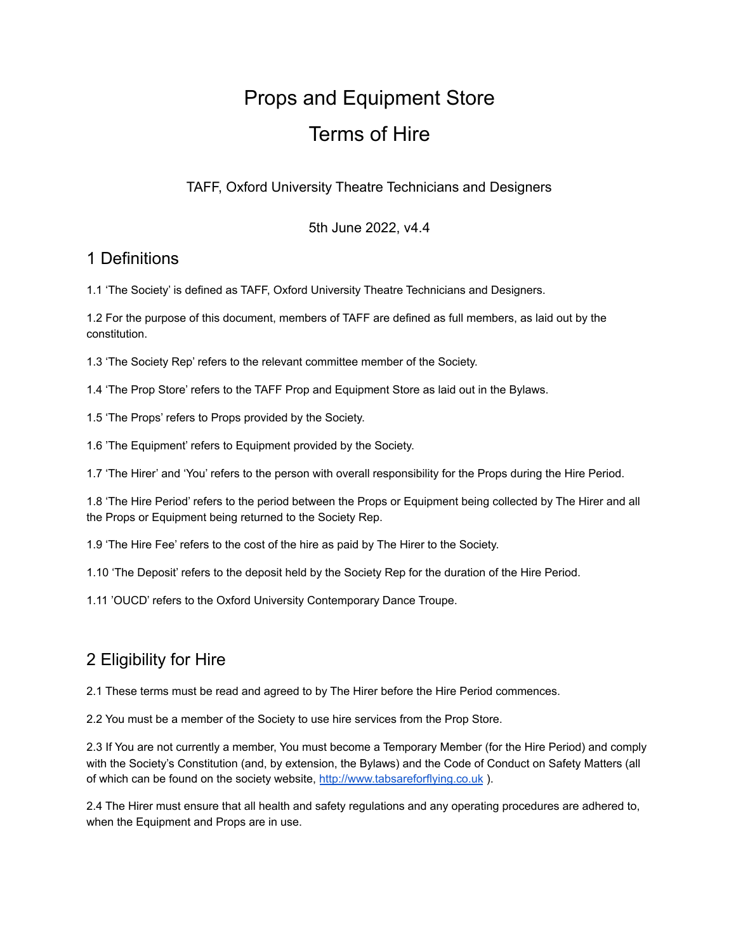# Props and Equipment Store Terms of Hire

TAFF, Oxford University Theatre Technicians and Designers

5th June 2022, v4.4

#### 1 Definitions

1.1 'The Society' is defined as TAFF, Oxford University Theatre Technicians and Designers.

1.2 For the purpose of this document, members of TAFF are defined as full members, as laid out by the constitution.

1.3 'The Society Rep' refers to the relevant committee member of the Society.

1.4 'The Prop Store' refers to the TAFF Prop and Equipment Store as laid out in the Bylaws.

1.5 'The Props' refers to Props provided by the Society.

1.6 'The Equipment' refers to Equipment provided by the Society.

1.7 'The Hirer' and 'You' refers to the person with overall responsibility for the Props during the Hire Period.

1.8 'The Hire Period' refers to the period between the Props or Equipment being collected by The Hirer and all the Props or Equipment being returned to the Society Rep.

1.9 'The Hire Fee' refers to the cost of the hire as paid by The Hirer to the Society.

1.10 'The Deposit' refers to the deposit held by the Society Rep for the duration of the Hire Period.

1.11 'OUCD' refers to the Oxford University Contemporary Dance Troupe.

# 2 Eligibility for Hire

2.1 These terms must be read and agreed to by The Hirer before the Hire Period commences.

2.2 You must be a member of the Society to use hire services from the Prop Store.

2.3 If You are not currently a member, You must become a Temporary Member (for the Hire Period) and comply with the Society's Constitution (and, by extension, the Bylaws) and the Code of Conduct on Safety Matters (all of which can be found on the society website, <http://www.tabsareforflying.co.uk> ).

2.4 The Hirer must ensure that all health and safety regulations and any operating procedures are adhered to, when the Equipment and Props are in use.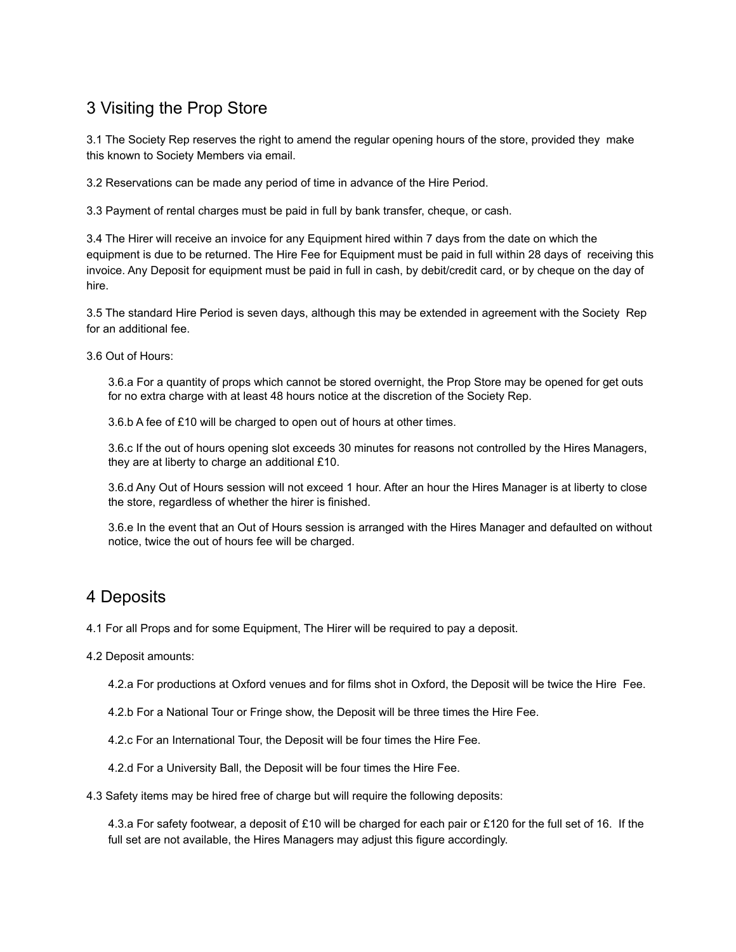## 3 Visiting the Prop Store

3.1 The Society Rep reserves the right to amend the regular opening hours of the store, provided they make this known to Society Members via email.

3.2 Reservations can be made any period of time in advance of the Hire Period.

3.3 Payment of rental charges must be paid in full by bank transfer, cheque, or cash.

3.4 The Hirer will receive an invoice for any Equipment hired within 7 days from the date on which the equipment is due to be returned. The Hire Fee for Equipment must be paid in full within 28 days of receiving this invoice. Any Deposit for equipment must be paid in full in cash, by debit/credit card, or by cheque on the day of hire.

3.5 The standard Hire Period is seven days, although this may be extended in agreement with the Society Rep for an additional fee.

3.6 Out of Hours:

3.6.a For a quantity of props which cannot be stored overnight, the Prop Store may be opened for get outs for no extra charge with at least 48 hours notice at the discretion of the Society Rep.

3.6.b A fee of £10 will be charged to open out of hours at other times.

3.6.c If the out of hours opening slot exceeds 30 minutes for reasons not controlled by the Hires Managers, they are at liberty to charge an additional £10.

3.6.d Any Out of Hours session will not exceed 1 hour. After an hour the Hires Manager is at liberty to close the store, regardless of whether the hirer is finished.

3.6.e In the event that an Out of Hours session is arranged with the Hires Manager and defaulted on without notice, twice the out of hours fee will be charged.

#### 4 Deposits

4.1 For all Props and for some Equipment, The Hirer will be required to pay a deposit.

4.2 Deposit amounts:

4.2.a For productions at Oxford venues and for films shot in Oxford, the Deposit will be twice the Hire Fee.

- 4.2.b For a National Tour or Fringe show, the Deposit will be three times the Hire Fee.
- 4.2.c For an International Tour, the Deposit will be four times the Hire Fee.
- 4.2.d For a University Ball, the Deposit will be four times the Hire Fee.
- 4.3 Safety items may be hired free of charge but will require the following deposits:

4.3.a For safety footwear, a deposit of £10 will be charged for each pair or £120 for the full set of 16. If the full set are not available, the Hires Managers may adjust this figure accordingly.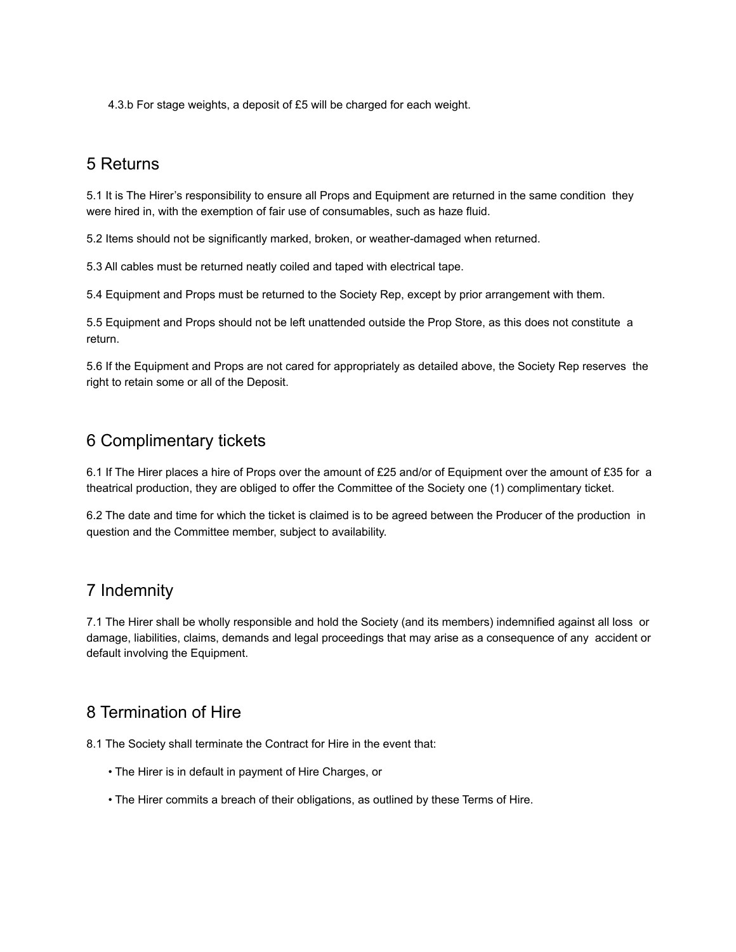4.3.b For stage weights, a deposit of £5 will be charged for each weight.

#### 5 Returns

5.1 It is The Hirer's responsibility to ensure all Props and Equipment are returned in the same condition they were hired in, with the exemption of fair use of consumables, such as haze fluid.

5.2 Items should not be significantly marked, broken, or weather-damaged when returned.

5.3 All cables must be returned neatly coiled and taped with electrical tape.

5.4 Equipment and Props must be returned to the Society Rep, except by prior arrangement with them.

5.5 Equipment and Props should not be left unattended outside the Prop Store, as this does not constitute a return.

5.6 If the Equipment and Props are not cared for appropriately as detailed above, the Society Rep reserves the right to retain some or all of the Deposit.

#### 6 Complimentary tickets

6.1 If The Hirer places a hire of Props over the amount of £25 and/or of Equipment over the amount of £35 for a theatrical production, they are obliged to offer the Committee of the Society one (1) complimentary ticket.

6.2 The date and time for which the ticket is claimed is to be agreed between the Producer of the production in question and the Committee member, subject to availability.

#### 7 Indemnity

7.1 The Hirer shall be wholly responsible and hold the Society (and its members) indemnified against all loss or damage, liabilities, claims, demands and legal proceedings that may arise as a consequence of any accident or default involving the Equipment.

## 8 Termination of Hire

8.1 The Society shall terminate the Contract for Hire in the event that:

- The Hirer is in default in payment of Hire Charges, or
- The Hirer commits a breach of their obligations, as outlined by these Terms of Hire.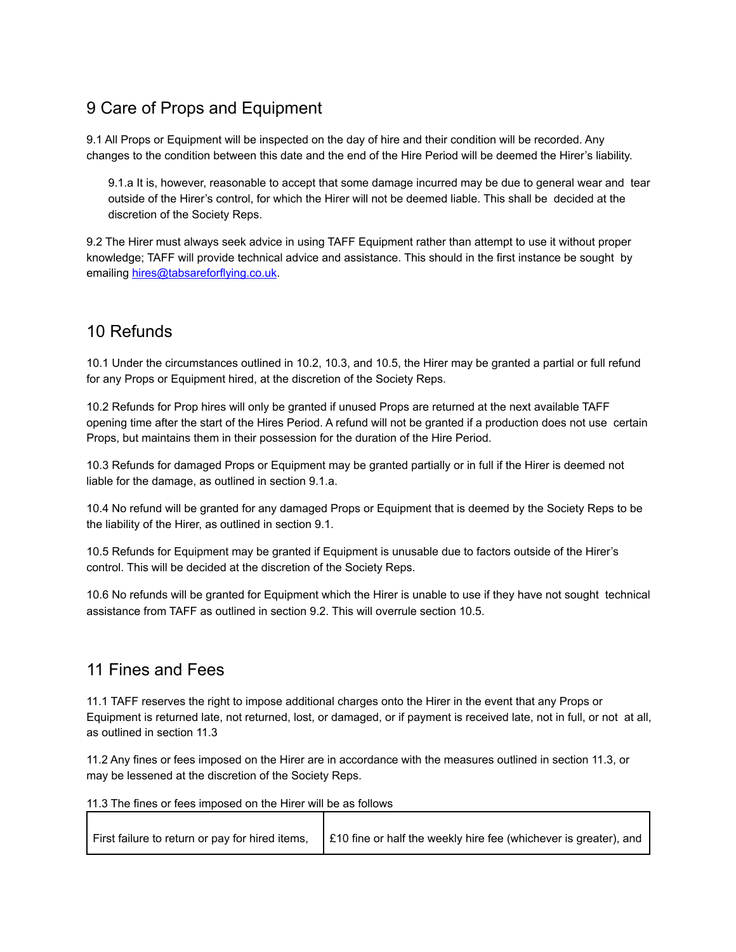## 9 Care of Props and Equipment

9.1 All Props or Equipment will be inspected on the day of hire and their condition will be recorded. Any changes to the condition between this date and the end of the Hire Period will be deemed the Hirer's liability.

9.1.a It is, however, reasonable to accept that some damage incurred may be due to general wear and tear outside of the Hirer's control, for which the Hirer will not be deemed liable. This shall be decided at the discretion of the Society Reps.

9.2 The Hirer must always seek advice in using TAFF Equipment rather than attempt to use it without proper knowledge; TAFF will provide technical advice and assistance. This should in the first instance be sought by emailing hires@tabsareforflying.co.uk.

## 10 Refunds

10.1 Under the circumstances outlined in 10.2, 10.3, and 10.5, the Hirer may be granted a partial or full refund for any Props or Equipment hired, at the discretion of the Society Reps.

10.2 Refunds for Prop hires will only be granted if unused Props are returned at the next available TAFF opening time after the start of the Hires Period. A refund will not be granted if a production does not use certain Props, but maintains them in their possession for the duration of the Hire Period.

10.3 Refunds for damaged Props or Equipment may be granted partially or in full if the Hirer is deemed not liable for the damage, as outlined in section 9.1.a.

10.4 No refund will be granted for any damaged Props or Equipment that is deemed by the Society Reps to be the liability of the Hirer, as outlined in section 9.1.

10.5 Refunds for Equipment may be granted if Equipment is unusable due to factors outside of the Hirer's control. This will be decided at the discretion of the Society Reps.

10.6 No refunds will be granted for Equipment which the Hirer is unable to use if they have not sought technical assistance from TAFF as outlined in section 9.2. This will overrule section 10.5.

## 11 Fines and Fees

11.1 TAFF reserves the right to impose additional charges onto the Hirer in the event that any Props or Equipment is returned late, not returned, lost, or damaged, or if payment is received late, not in full, or not at all, as outlined in section 11.3

11.2 Any fines or fees imposed on the Hirer are in accordance with the measures outlined in section 11.3, or may be lessened at the discretion of the Society Reps.

11.3 The fines or fees imposed on the Hirer will be as follows

| First failure to return or pay for hired items, $\int$ £10 fine or half the weekly hire fee (whichever is greater), and |
|-------------------------------------------------------------------------------------------------------------------------|
|                                                                                                                         |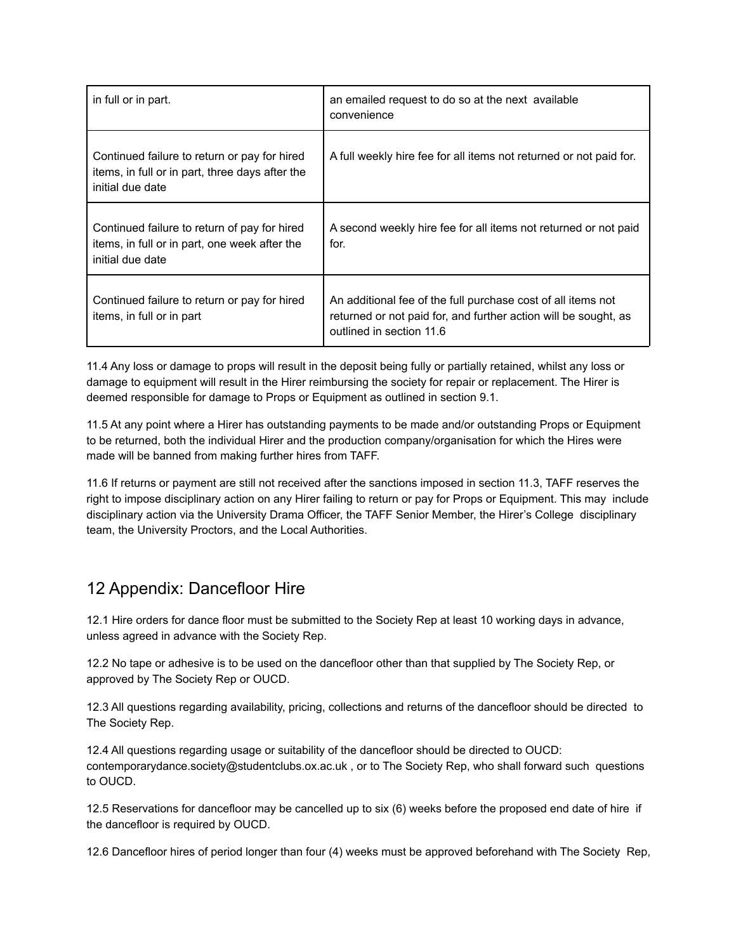| in full or in part.                                                                                                 | an emailed request to do so at the next available<br>convenience                                                                                            |
|---------------------------------------------------------------------------------------------------------------------|-------------------------------------------------------------------------------------------------------------------------------------------------------------|
| Continued failure to return or pay for hired<br>items, in full or in part, three days after the<br>initial due date | A full weekly hire fee for all items not returned or not paid for.                                                                                          |
| Continued failure to return of pay for hired<br>items, in full or in part, one week after the<br>initial due date   | A second weekly hire fee for all items not returned or not paid<br>for.                                                                                     |
| Continued failure to return or pay for hired<br>items, in full or in part                                           | An additional fee of the full purchase cost of all items not<br>returned or not paid for, and further action will be sought, as<br>outlined in section 11.6 |

11.4 Any loss or damage to props will result in the deposit being fully or partially retained, whilst any loss or damage to equipment will result in the Hirer reimbursing the society for repair or replacement. The Hirer is deemed responsible for damage to Props or Equipment as outlined in section 9.1.

11.5 At any point where a Hirer has outstanding payments to be made and/or outstanding Props or Equipment to be returned, both the individual Hirer and the production company/organisation for which the Hires were made will be banned from making further hires from TAFF.

11.6 If returns or payment are still not received after the sanctions imposed in section 11.3, TAFF reserves the right to impose disciplinary action on any Hirer failing to return or pay for Props or Equipment. This may include disciplinary action via the University Drama Officer, the TAFF Senior Member, the Hirer's College disciplinary team, the University Proctors, and the Local Authorities.

## 12 Appendix: Dancefloor Hire

12.1 Hire orders for dance floor must be submitted to the Society Rep at least 10 working days in advance, unless agreed in advance with the Society Rep.

12.2 No tape or adhesive is to be used on the dancefloor other than that supplied by The Society Rep, or approved by The Society Rep or OUCD.

12.3 All questions regarding availability, pricing, collections and returns of the dancefloor should be directed to The Society Rep.

12.4 All questions regarding usage or suitability of the dancefloor should be directed to OUCD: contemporarydance.society@studentclubs.ox.ac.uk , or to The Society Rep, who shall forward such questions to OUCD.

12.5 Reservations for dancefloor may be cancelled up to six (6) weeks before the proposed end date of hire if the dancefloor is required by OUCD.

12.6 Dancefloor hires of period longer than four (4) weeks must be approved beforehand with The Society Rep,